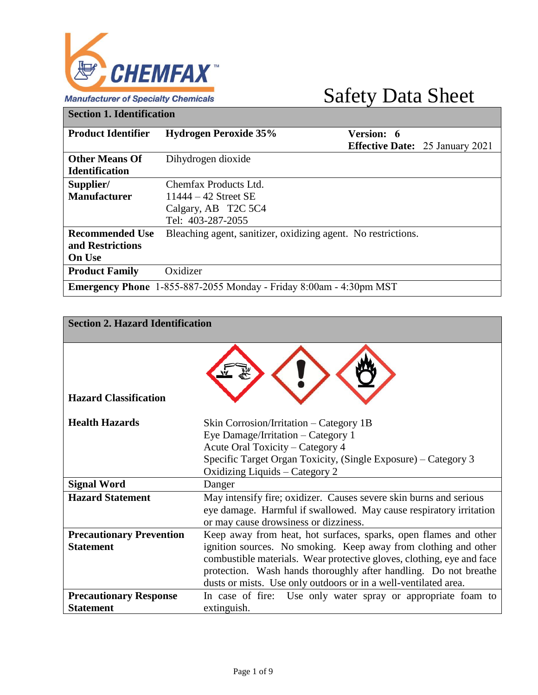

#### **Manufacturer of Specialty Chemicals**

## Safety Data Sheet

**Section 1. Identification**

| <b>Product Identifier</b> | <b>Hydrogen Peroxide 35%</b>                                                | Version: 6                             |  |
|---------------------------|-----------------------------------------------------------------------------|----------------------------------------|--|
|                           |                                                                             | <b>Effective Date:</b> 25 January 2021 |  |
| <b>Other Means Of</b>     | Dihydrogen dioxide                                                          |                                        |  |
| <b>Identification</b>     |                                                                             |                                        |  |
| Supplier/                 | Chemfax Products Ltd.                                                       |                                        |  |
| <b>Manufacturer</b>       | $11444 - 42$ Street SE                                                      |                                        |  |
|                           | Calgary, AB T2C 5C4                                                         |                                        |  |
|                           | Tel: 403-287-2055                                                           |                                        |  |
| <b>Recommended Use</b>    | Bleaching agent, sanitizer, oxidizing agent. No restrictions.               |                                        |  |
| and Restrictions          |                                                                             |                                        |  |
| <b>On Use</b>             |                                                                             |                                        |  |
| <b>Product Family</b>     | Oxidizer                                                                    |                                        |  |
|                           | <b>Emergency Phone</b> $1-855-887-2055$ Monday - Friday 8:00am - 4:30pm MST |                                        |  |

| <b>Section 2. Hazard Identification</b>             |                                                                                                                                                                                                                                                                                                                                                     |
|-----------------------------------------------------|-----------------------------------------------------------------------------------------------------------------------------------------------------------------------------------------------------------------------------------------------------------------------------------------------------------------------------------------------------|
| <b>Hazard Classification</b>                        |                                                                                                                                                                                                                                                                                                                                                     |
| <b>Health Hazards</b>                               | Skin Corrosion/Irritation – Category 1B<br>Eye Damage/Irritation – Category 1<br>Acute Oral Toxicity – Category 4<br>Specific Target Organ Toxicity, (Single Exposure) - Category 3<br>Oxidizing Liquids – Category 2                                                                                                                               |
| <b>Signal Word</b>                                  | Danger                                                                                                                                                                                                                                                                                                                                              |
| <b>Hazard Statement</b>                             | May intensify fire; oxidizer. Causes severe skin burns and serious<br>eye damage. Harmful if swallowed. May cause respiratory irritation<br>or may cause drowsiness or dizziness.                                                                                                                                                                   |
| <b>Precautionary Prevention</b><br><b>Statement</b> | Keep away from heat, hot surfaces, sparks, open flames and other<br>ignition sources. No smoking. Keep away from clothing and other<br>combustible materials. Wear protective gloves, clothing, eye and face<br>protection. Wash hands thoroughly after handling. Do not breathe<br>dusts or mists. Use only outdoors or in a well-ventilated area. |
| <b>Precautionary Response</b><br><b>Statement</b>   | In case of fire: Use only water spray or appropriate foam to<br>extinguish.                                                                                                                                                                                                                                                                         |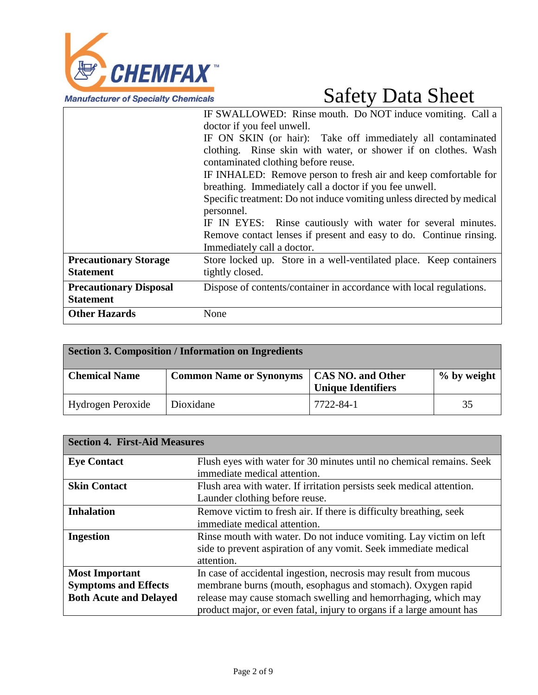

|                               | IF SWALLOWED: Rinse mouth. Do NOT induce vomiting. Call a             |
|-------------------------------|-----------------------------------------------------------------------|
|                               | doctor if you feel unwell.                                            |
|                               | IF ON SKIN (or hair): Take off immediately all contaminated           |
|                               | clothing. Rinse skin with water, or shower if on clothes. Wash        |
|                               | contaminated clothing before reuse.                                   |
|                               | IF INHALED: Remove person to fresh air and keep comfortable for       |
|                               | breathing. Immediately call a doctor if you fee unwell.               |
|                               | Specific treatment: Do not induce vomiting unless directed by medical |
|                               | personnel.                                                            |
|                               | IF IN EYES: Rinse cautiously with water for several minutes.          |
|                               | Remove contact lenses if present and easy to do. Continue rinsing.    |
|                               | Immediately call a doctor.                                            |
| <b>Precautionary Storage</b>  | Store locked up. Store in a well-ventilated place. Keep containers    |
| <b>Statement</b>              | tightly closed.                                                       |
| <b>Precautionary Disposal</b> | Dispose of contents/container in accordance with local regulations.   |
| <b>Statement</b>              |                                                                       |
| <b>Other Hazards</b>          | None                                                                  |

|                      | <b>Section 3. Composition / Information on Ingredients</b> |                                                |             |
|----------------------|------------------------------------------------------------|------------------------------------------------|-------------|
| <b>Chemical Name</b> | <b>Common Name or Synonyms</b>                             | <b>CAS NO. and Other</b><br>Unique Identifiers | % by weight |
| Hydrogen Peroxide    | Dioxidane                                                  | 7722-84-1                                      | 35          |

| <b>Section 4. First-Aid Measures</b> |                                                                       |
|--------------------------------------|-----------------------------------------------------------------------|
| <b>Eye Contact</b>                   | Flush eyes with water for 30 minutes until no chemical remains. Seek  |
|                                      | immediate medical attention.                                          |
| <b>Skin Contact</b>                  | Flush area with water. If irritation persists seek medical attention. |
|                                      | Launder clothing before reuse.                                        |
| <b>Inhalation</b>                    | Remove victim to fresh air. If there is difficulty breathing, seek    |
|                                      | immediate medical attention.                                          |
| <b>Ingestion</b>                     | Rinse mouth with water. Do not induce vomiting. Lay victim on left    |
|                                      | side to prevent aspiration of any vomit. Seek immediate medical       |
|                                      | attention.                                                            |
| <b>Most Important</b>                | In case of accidental ingestion, necrosis may result from mucous      |
| <b>Symptoms and Effects</b>          | membrane burns (mouth, esophagus and stomach). Oxygen rapid           |
| <b>Both Acute and Delayed</b>        | release may cause stomach swelling and hemorrhaging, which may        |
|                                      | product major, or even fatal, injury to organs if a large amount has  |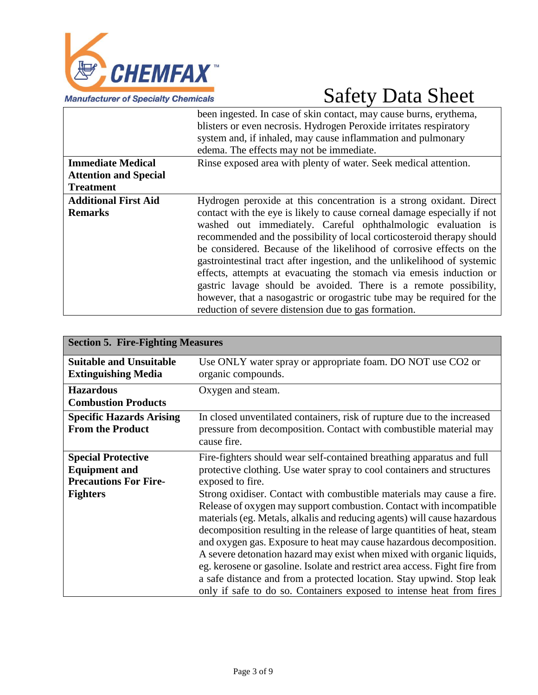

|                                               | been ingested. In case of skin contact, may cause burns, erythema,<br>blisters or even necrosis. Hydrogen Peroxide irritates respiratory<br>system and, if inhaled, may cause inflammation and pulmonary<br>edema. The effects may not be immediate.                                                                                                                                                                                                                                                                                                                                                                                                                                                                       |
|-----------------------------------------------|----------------------------------------------------------------------------------------------------------------------------------------------------------------------------------------------------------------------------------------------------------------------------------------------------------------------------------------------------------------------------------------------------------------------------------------------------------------------------------------------------------------------------------------------------------------------------------------------------------------------------------------------------------------------------------------------------------------------------|
| <b>Immediate Medical</b>                      | Rinse exposed area with plenty of water. Seek medical attention.                                                                                                                                                                                                                                                                                                                                                                                                                                                                                                                                                                                                                                                           |
| <b>Attention and Special</b>                  |                                                                                                                                                                                                                                                                                                                                                                                                                                                                                                                                                                                                                                                                                                                            |
| <b>Treatment</b>                              |                                                                                                                                                                                                                                                                                                                                                                                                                                                                                                                                                                                                                                                                                                                            |
| <b>Additional First Aid</b><br><b>Remarks</b> | Hydrogen peroxide at this concentration is a strong oxidant. Direct<br>contact with the eye is likely to cause corneal damage especially if not<br>washed out immediately. Careful ophthalmologic evaluation is<br>recommended and the possibility of local corticosteroid therapy should<br>be considered. Because of the likelihood of corrosive effects on the<br>gastrointestinal tract after ingestion, and the unlikelihood of systemic<br>effects, attempts at evacuating the stomach via emesis induction or<br>gastric lavage should be avoided. There is a remote possibility,<br>however, that a nasogastric or orogastric tube may be required for the<br>reduction of severe distension due to gas formation. |

| <b>Section 5. Fire-Fighting Measures</b>                                                             |                                                                                                                                                                                                                                                                                                                                                                                                                                                           |  |
|------------------------------------------------------------------------------------------------------|-----------------------------------------------------------------------------------------------------------------------------------------------------------------------------------------------------------------------------------------------------------------------------------------------------------------------------------------------------------------------------------------------------------------------------------------------------------|--|
| <b>Suitable and Unsuitable</b><br><b>Extinguishing Media</b>                                         | Use ONLY water spray or appropriate foam. DO NOT use CO2 or<br>organic compounds.                                                                                                                                                                                                                                                                                                                                                                         |  |
| <b>Hazardous</b><br><b>Combustion Products</b>                                                       | Oxygen and steam.                                                                                                                                                                                                                                                                                                                                                                                                                                         |  |
| <b>Specific Hazards Arising</b><br><b>From the Product</b>                                           | In closed unventilated containers, risk of rupture due to the increased<br>pressure from decomposition. Contact with combustible material may<br>cause fire.                                                                                                                                                                                                                                                                                              |  |
| <b>Special Protective</b><br><b>Equipment and</b><br><b>Precautions For Fire-</b><br><b>Fighters</b> | Fire-fighters should wear self-contained breathing apparatus and full<br>protective clothing. Use water spray to cool containers and structures<br>exposed to fire.<br>Strong oxidiser. Contact with combustible materials may cause a fire.<br>Release of oxygen may support combustion. Contact with incompatible<br>materials (eg. Metals, alkalis and reducing agents) will cause hazardous                                                           |  |
|                                                                                                      | decomposition resulting in the release of large quantities of heat, steam<br>and oxygen gas. Exposure to heat may cause hazardous decomposition.<br>A severe detonation hazard may exist when mixed with organic liquids,<br>eg. kerosene or gasoline. Isolate and restrict area access. Fight fire from<br>a safe distance and from a protected location. Stay upwind. Stop leak<br>only if safe to do so. Containers exposed to intense heat from fires |  |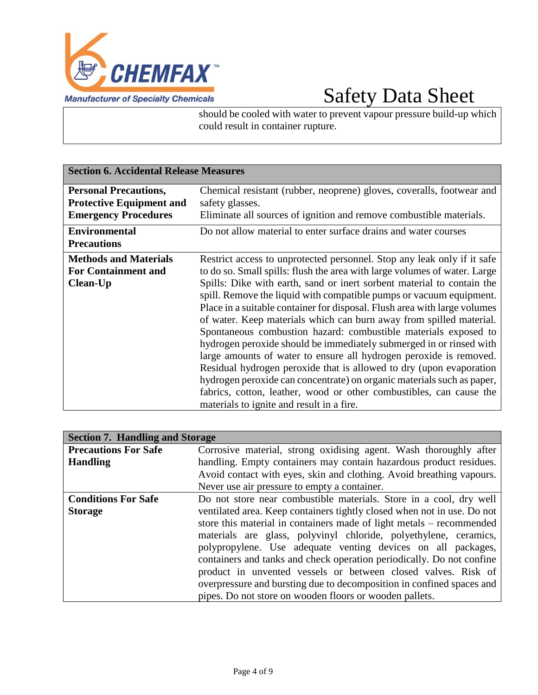

should be cooled with water to prevent vapour pressure build-up which could result in container rupture.

| <b>Section 6. Accidental Release Measures</b>                                                  |                                                                                                                                                                                                                                                                                                                                                                                                                                                                                                                                                                                                                                                                                                                                                                                                                                                                                                                                                |
|------------------------------------------------------------------------------------------------|------------------------------------------------------------------------------------------------------------------------------------------------------------------------------------------------------------------------------------------------------------------------------------------------------------------------------------------------------------------------------------------------------------------------------------------------------------------------------------------------------------------------------------------------------------------------------------------------------------------------------------------------------------------------------------------------------------------------------------------------------------------------------------------------------------------------------------------------------------------------------------------------------------------------------------------------|
| <b>Personal Precautions,</b><br><b>Protective Equipment and</b><br><b>Emergency Procedures</b> | Chemical resistant (rubber, neoprene) gloves, coveralls, footwear and<br>safety glasses.<br>Eliminate all sources of ignition and remove combustible materials.                                                                                                                                                                                                                                                                                                                                                                                                                                                                                                                                                                                                                                                                                                                                                                                |
| <b>Environmental</b><br><b>Precautions</b>                                                     | Do not allow material to enter surface drains and water courses                                                                                                                                                                                                                                                                                                                                                                                                                                                                                                                                                                                                                                                                                                                                                                                                                                                                                |
| <b>Methods and Materials</b><br><b>For Containment and</b><br><b>Clean-Up</b>                  | Restrict access to unprotected personnel. Stop any leak only if it safe<br>to do so. Small spills: flush the area with large volumes of water. Large<br>Spills: Dike with earth, sand or inert sorbent material to contain the<br>spill. Remove the liquid with compatible pumps or vacuum equipment.<br>Place in a suitable container for disposal. Flush area with large volumes<br>of water. Keep materials which can burn away from spilled material.<br>Spontaneous combustion hazard: combustible materials exposed to<br>hydrogen peroxide should be immediately submerged in or rinsed with<br>large amounts of water to ensure all hydrogen peroxide is removed.<br>Residual hydrogen peroxide that is allowed to dry (upon evaporation<br>hydrogen peroxide can concentrate) on organic materials such as paper,<br>fabrics, cotton, leather, wood or other combustibles, can cause the<br>materials to ignite and result in a fire. |

| <b>Section 7. Handling and Storage</b> |                                                                         |
|----------------------------------------|-------------------------------------------------------------------------|
| <b>Precautions For Safe</b>            | Corrosive material, strong oxidising agent. Wash thoroughly after       |
| <b>Handling</b>                        | handling. Empty containers may contain hazardous product residues.      |
|                                        | Avoid contact with eyes, skin and clothing. Avoid breathing vapours.    |
|                                        | Never use air pressure to empty a container.                            |
| <b>Conditions For Safe</b>             | Do not store near combustible materials. Store in a cool, dry well      |
| <b>Storage</b>                         | ventilated area. Keep containers tightly closed when not in use. Do not |
|                                        | store this material in containers made of light metals – recommended    |
|                                        | materials are glass, polyvinyl chloride, polyethylene, ceramics,        |
|                                        | polypropylene. Use adequate venting devices on all packages,            |
|                                        | containers and tanks and check operation periodically. Do not confine   |
|                                        | product in unvented vessels or between closed valves. Risk of           |
|                                        | overpressure and bursting due to decomposition in confined spaces and   |
|                                        | pipes. Do not store on wooden floors or wooden pallets.                 |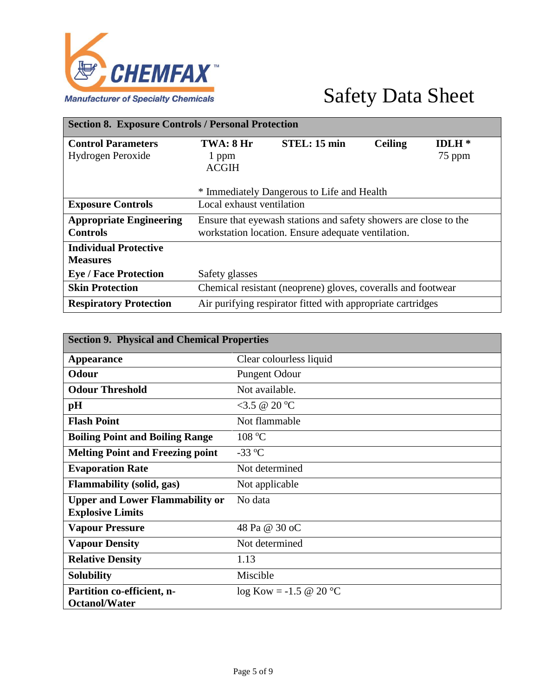

| <b>Section 8. Exposure Controls / Personal Protection</b> |                           |                                                                  |                |         |
|-----------------------------------------------------------|---------------------------|------------------------------------------------------------------|----------------|---------|
| <b>Control Parameters</b>                                 | TWA: 8 Hr                 | STEL: 15 min                                                     | <b>Ceiling</b> | $IDLH*$ |
| Hydrogen Peroxide                                         | 1 ppm<br><b>ACGIH</b>     |                                                                  |                | 75 ppm  |
|                                                           |                           | * Immediately Dangerous to Life and Health                       |                |         |
| <b>Exposure Controls</b>                                  | Local exhaust ventilation |                                                                  |                |         |
| <b>Appropriate Engineering</b>                            |                           | Ensure that eyewash stations and safety showers are close to the |                |         |
| <b>Controls</b>                                           |                           | workstation location. Ensure adequate ventilation.               |                |         |
| <b>Individual Protective</b>                              |                           |                                                                  |                |         |
| <b>Measures</b>                                           |                           |                                                                  |                |         |
| <b>Eye / Face Protection</b>                              | Safety glasses            |                                                                  |                |         |
| <b>Skin Protection</b>                                    |                           | Chemical resistant (neoprene) gloves, coveralls and footwear     |                |         |
| <b>Respiratory Protection</b>                             |                           | Air purifying respirator fitted with appropriate cartridges      |                |         |

| <b>Section 9. Physical and Chemical Properties</b> |                          |  |
|----------------------------------------------------|--------------------------|--|
| <b>Appearance</b>                                  | Clear colourless liquid  |  |
| <b>Odour</b>                                       | <b>Pungent Odour</b>     |  |
| <b>Odour Threshold</b>                             | Not available.           |  |
| pH                                                 | <3.5 @ 20 °C             |  |
| <b>Flash Point</b>                                 | Not flammable            |  |
| <b>Boiling Point and Boiling Range</b>             | 108 °C                   |  |
| <b>Melting Point and Freezing point</b>            | $-33$ °C                 |  |
| <b>Evaporation Rate</b>                            | Not determined           |  |
| <b>Flammability (solid, gas)</b>                   | Not applicable           |  |
| <b>Upper and Lower Flammability or</b>             | No data                  |  |
| <b>Explosive Limits</b>                            |                          |  |
| <b>Vapour Pressure</b>                             | 48 Pa @ 30 oC            |  |
| <b>Vapour Density</b>                              | Not determined           |  |
| <b>Relative Density</b>                            | 1.13                     |  |
| <b>Solubility</b>                                  | Miscible                 |  |
| Partition co-efficient, n-<br><b>Octanol/Water</b> | $log Kow = -1.5 @ 20 °C$ |  |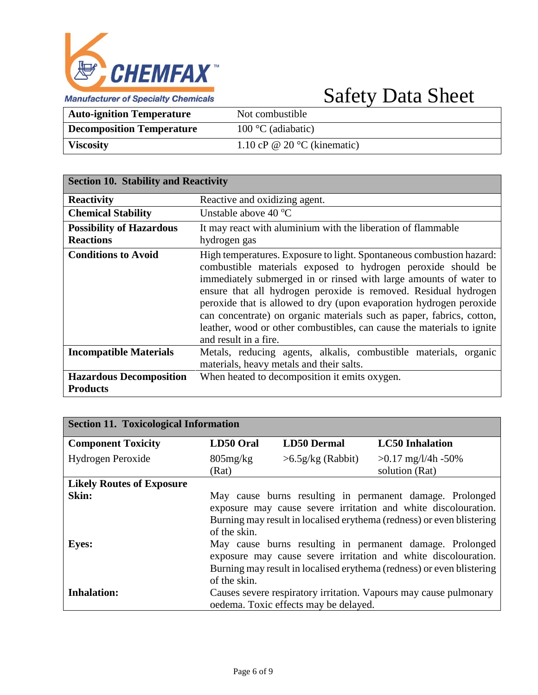

| <b>Auto-ignition Temperature</b> | Not combustible                      |
|----------------------------------|--------------------------------------|
| <b>Decomposition Temperature</b> | $100^{\circ}$ C (adiabatic)          |
| <b>Viscosity</b>                 | 1.10 cP @ 20 $\degree$ C (kinematic) |

| <b>Section 10. Stability and Reactivity</b>         |                                                                                                                                                                                                                                                                                                                                                                                                                                                                                                                                 |
|-----------------------------------------------------|---------------------------------------------------------------------------------------------------------------------------------------------------------------------------------------------------------------------------------------------------------------------------------------------------------------------------------------------------------------------------------------------------------------------------------------------------------------------------------------------------------------------------------|
| <b>Reactivity</b>                                   | Reactive and oxidizing agent.                                                                                                                                                                                                                                                                                                                                                                                                                                                                                                   |
| <b>Chemical Stability</b>                           | Unstable above $40^{\circ}$ C                                                                                                                                                                                                                                                                                                                                                                                                                                                                                                   |
| <b>Possibility of Hazardous</b><br><b>Reactions</b> | It may react with aluminium with the liberation of flammable<br>hydrogen gas                                                                                                                                                                                                                                                                                                                                                                                                                                                    |
| <b>Conditions to Avoid</b>                          | High temperatures. Exposure to light. Spontaneous combustion hazard:<br>combustible materials exposed to hydrogen peroxide should be<br>immediately submerged in or rinsed with large amounts of water to<br>ensure that all hydrogen peroxide is removed. Residual hydrogen<br>peroxide that is allowed to dry (upon evaporation hydrogen peroxide<br>can concentrate) on organic materials such as paper, fabrics, cotton,<br>leather, wood or other combustibles, can cause the materials to ignite<br>and result in a fire. |
| <b>Incompatible Materials</b>                       | Metals, reducing agents, alkalis, combustible materials, organic<br>materials, heavy metals and their salts.                                                                                                                                                                                                                                                                                                                                                                                                                    |
| <b>Hazardous Decomposition</b><br><b>Products</b>   | When heated to decomposition it emits oxygen.                                                                                                                                                                                                                                                                                                                                                                                                                                                                                   |

| <b>Section 11. Toxicological Information</b> |                      |                                       |                                                                                                                                                                                                     |
|----------------------------------------------|----------------------|---------------------------------------|-----------------------------------------------------------------------------------------------------------------------------------------------------------------------------------------------------|
| <b>Component Toxicity</b>                    | LD50 Oral            | <b>LD50 Dermal</b>                    | <b>LC50</b> Inhalation                                                                                                                                                                              |
| Hydrogen Peroxide                            | $805$ mg/kg<br>(Rat) | $>6.5g/kg$ (Rabbit)                   | $>0.17$ mg/l/4h -50%<br>solution (Rat)                                                                                                                                                              |
| <b>Likely Routes of Exposure</b>             |                      |                                       |                                                                                                                                                                                                     |
| Skin:                                        | of the skin.         |                                       | May cause burns resulting in permanent damage. Prolonged<br>exposure may cause severe irritation and white discolouration.<br>Burning may result in localised erythema (redness) or even blistering |
| <b>Eyes:</b>                                 | of the skin.         |                                       | May cause burns resulting in permanent damage. Prolonged<br>exposure may cause severe irritation and white discolouration.<br>Burning may result in localised erythema (redness) or even blistering |
| <b>Inhalation:</b>                           |                      | oedema. Toxic effects may be delayed. | Causes severe respiratory irritation. Vapours may cause pulmonary                                                                                                                                   |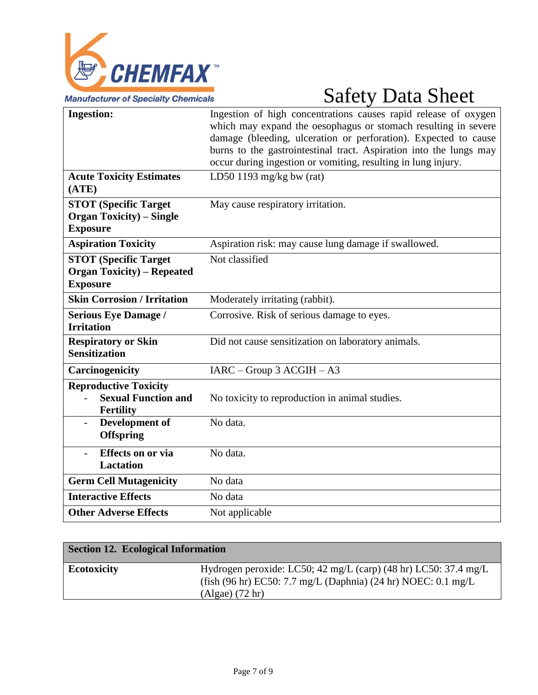

| <b>Ingestion:</b>                                                                      | Ingestion of high concentrations causes rapid release of oxygen<br>which may expand the oesophagus or stomach resulting in severe<br>damage (bleeding, ulceration or perforation). Expected to cause<br>burns to the gastrointestinal tract. Aspiration into the lungs may<br>occur during ingestion or vomiting, resulting in lung injury. |
|----------------------------------------------------------------------------------------|---------------------------------------------------------------------------------------------------------------------------------------------------------------------------------------------------------------------------------------------------------------------------------------------------------------------------------------------|
|                                                                                        |                                                                                                                                                                                                                                                                                                                                             |
| <b>Acute Toxicity Estimates</b><br>(ATE)                                               | LD50 1193 mg/kg bw (rat)                                                                                                                                                                                                                                                                                                                    |
| <b>STOT (Specific Target)</b>                                                          | May cause respiratory irritation.                                                                                                                                                                                                                                                                                                           |
| <b>Organ Toxicity</b> ) – Single<br><b>Exposure</b>                                    |                                                                                                                                                                                                                                                                                                                                             |
| <b>Aspiration Toxicity</b>                                                             | Aspiration risk: may cause lung damage if swallowed.                                                                                                                                                                                                                                                                                        |
| <b>STOT (Specific Target)</b><br><b>Organ Toxicity</b> ) – Repeated<br><b>Exposure</b> | Not classified                                                                                                                                                                                                                                                                                                                              |
| <b>Skin Corrosion / Irritation</b>                                                     | Moderately irritating (rabbit).                                                                                                                                                                                                                                                                                                             |
| <b>Serious Eye Damage /</b><br><b>Irritation</b>                                       | Corrosive. Risk of serious damage to eyes.                                                                                                                                                                                                                                                                                                  |
| <b>Respiratory or Skin</b><br><b>Sensitization</b>                                     | Did not cause sensitization on laboratory animals.                                                                                                                                                                                                                                                                                          |
| Carcinogenicity                                                                        | $IARC - Group 3 ACGIH - A3$                                                                                                                                                                                                                                                                                                                 |
| <b>Reproductive Toxicity</b><br><b>Sexual Function and</b><br>Fertility                | No toxicity to reproduction in animal studies.                                                                                                                                                                                                                                                                                              |
| Development of<br>$\overline{\phantom{0}}$<br><b>Offspring</b>                         | No data.                                                                                                                                                                                                                                                                                                                                    |
| <b>Effects</b> on or via<br><b>Lactation</b>                                           | No data.                                                                                                                                                                                                                                                                                                                                    |
| <b>Germ Cell Mutagenicity</b>                                                          | No data                                                                                                                                                                                                                                                                                                                                     |
| <b>Interactive Effects</b>                                                             | No data                                                                                                                                                                                                                                                                                                                                     |
| <b>Other Adverse Effects</b>                                                           | Not applicable                                                                                                                                                                                                                                                                                                                              |

| Section 12. Ecological Information |                                                                                                                                                       |
|------------------------------------|-------------------------------------------------------------------------------------------------------------------------------------------------------|
| <b>Ecotoxicity</b>                 | Hydrogen peroxide: LC50; 42 mg/L (carp) (48 hr) LC50: 37.4 mg/L<br>(fish (96 hr) EC50: 7.7 mg/L (Daphnia) (24 hr) NOEC: 0.1 mg/L<br>$(Algae)$ (72 hr) |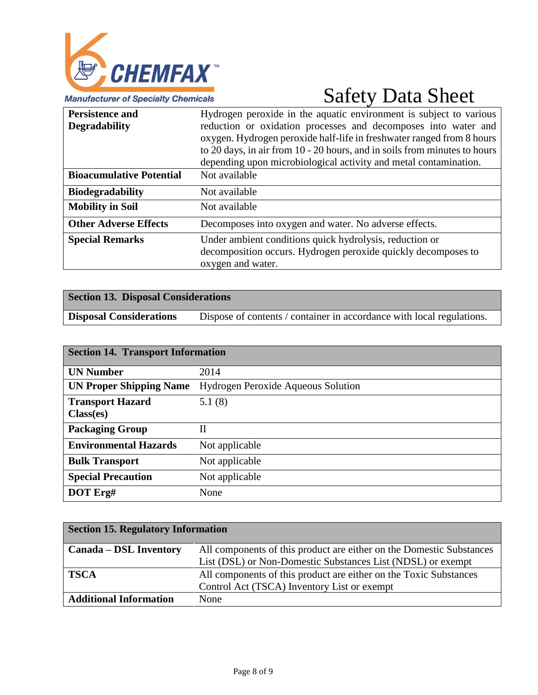

| <b>Persistence and</b><br><b>Degradability</b> | Hydrogen peroxide in the aquatic environment is subject to various<br>reduction or oxidation processes and decomposes into water and<br>oxygen. Hydrogen peroxide half-life in freshwater ranged from 8 hours<br>to 20 days, in air from 10 - 20 hours, and in soils from minutes to hours<br>depending upon microbiological activity and metal contamination. |
|------------------------------------------------|----------------------------------------------------------------------------------------------------------------------------------------------------------------------------------------------------------------------------------------------------------------------------------------------------------------------------------------------------------------|
| <b>Bioacumulative Potential</b>                | Not available                                                                                                                                                                                                                                                                                                                                                  |
| <b>Biodegradability</b>                        | Not available                                                                                                                                                                                                                                                                                                                                                  |
| <b>Mobility in Soil</b>                        | Not available                                                                                                                                                                                                                                                                                                                                                  |
| <b>Other Adverse Effects</b>                   | Decomposes into oxygen and water. No adverse effects.                                                                                                                                                                                                                                                                                                          |
| <b>Special Remarks</b>                         | Under ambient conditions quick hydrolysis, reduction or<br>decomposition occurs. Hydrogen peroxide quickly decomposes to<br>oxygen and water.                                                                                                                                                                                                                  |

| <b>Section 13. Disposal Considerations</b> |                                                                       |
|--------------------------------------------|-----------------------------------------------------------------------|
| <b>Disposal Considerations</b>             | Dispose of contents / container in accordance with local regulations. |

| <b>Section 14. Transport Information</b> |                                           |
|------------------------------------------|-------------------------------------------|
| <b>UN Number</b>                         | 2014                                      |
| <b>UN Proper Shipping Name</b>           | <b>Hydrogen Peroxide Aqueous Solution</b> |
| <b>Transport Hazard</b>                  | 5.1(8)                                    |
| Class(es)                                |                                           |
| <b>Packaging Group</b>                   | $\rm II$                                  |
| <b>Environmental Hazards</b>             | Not applicable                            |
| <b>Bulk Transport</b>                    | Not applicable                            |
| <b>Special Precaution</b>                | Not applicable                            |
| DOT Erg#                                 | None                                      |

| <b>Section 15. Regulatory Information</b> |                                                                      |
|-------------------------------------------|----------------------------------------------------------------------|
| <b>Canada – DSL Inventory</b>             | All components of this product are either on the Domestic Substances |
|                                           | List (DSL) or Non-Domestic Substances List (NDSL) or exempt          |
| <b>TSCA</b>                               | All components of this product are either on the Toxic Substances    |
|                                           | Control Act (TSCA) Inventory List or exempt                          |
| <b>Additional Information</b>             | None                                                                 |